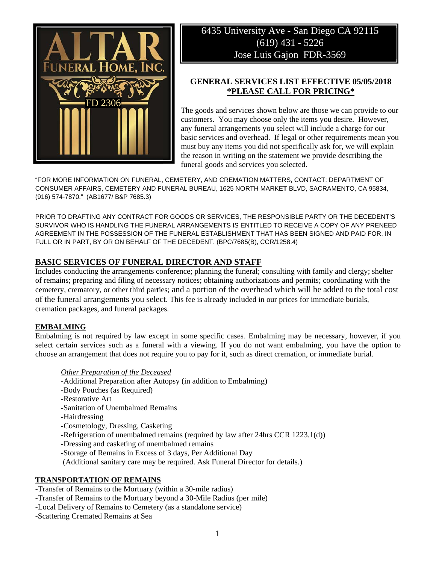

# 6435 University Ave - San Diego CA 92115  $(619)$  431 - 5226 Jose Luis Gajon FDR-3569

## **GENERAL SERVICES LIST EFFECTIVE 05/05/2018** \*PLEASE CALL FOR PRICING\*

The goods and services shown below are those we can provide to our customers. You may choose only the items you desire. However, any funeral arrangements you select will include a charge for our basic services and overhead. If legal or other requirements mean you must buy any items you did not specifically ask for, we will explain the reason in writing on the statement we provide describing the funeral goods and services you selected.

"FOR MORE INFORMATION ON FUNERAL, CEMETERY, AND CREMATION MATTERS, CONTACT: DEPARTMENT OF CONSUMER AFFAIRS, CEMETERY AND FUNERAL BUREAU, 1625 NORTH MARKET BLVD, SACRAMENTO, CA 95834, (916) 574-7870." (AB1677/ B&P 7685.3)

PRIOR TO DRAFTING ANY CONTRACT FOR GOODS OR SERVICES, THE RESPONSIBLE PARTY OR THE DECEDENT'S SURVIVOR WHO IS HANDLING THE FUNERAL ARRANGEMENTS IS ENTITLED TO RECEIVE A COPY OF ANY PRENEED AGREEMENT IN THE POSSESSION OF THE FUNERAL ESTABLISHMENT THAT HAS BEEN SIGNED AND PAID FOR. IN FULL OR IN PART, BY OR ON BEHALF OF THE DECEDENT. (BPC/7685(B), CCR/1258.4)

## **BASIC SERVICES OF FUNERAL DIRECTOR AND STAFF**

Includes conducting the arrangements conference; planning the funeral; consulting with family and clergy; shelter of remains; preparing and filing of necessary notices; obtaining authorizations and permits; coordinating with the cemetery, crematory, or other third parties; and a portion of the overhead which will be added to the total cost of the funeral arrangements you select. This fee is already included in our prices for immediate burials, cremation packages, and funeral packages.

### **EMBALMING**

Embalming is not required by law except in some specific cases. Embalming may be necessary, however, if you select certain services such as a funeral with a viewing. If you do not want embalming, you have the option to choose an arrangement that does not require you to pay for it, such as direct cremation, or immediate burial.

### Other Preparation of the Deceased

- -Additional Preparation after Autopsy (in addition to Embalming)
- -Body Pouches (as Required)
- -Restorative Art
- -Sanitation of Unembalmed Remains
- -Hairdressing
- -Cosmetology, Dressing, Casketing
- -Refrigeration of unembalmed remains (required by law after 24hrs CCR 1223.1(d))
- -Dressing and casketing of unembalmed remains
- -Storage of Remains in Excess of 3 days, Per Additional Day
- (Additional sanitary care may be required. Ask Funeral Director for details.)

### **TRANSPORTATION OF REMAINS**

- -Transfer of Remains to the Mortuary (within a 30-mile radius)
- -Transfer of Remains to the Mortuary beyond a 30-Mile Radius (per mile)
- -Local Delivery of Remains to Cemetery (as a standalone service)
- -Scattering Cremated Remains at Sea